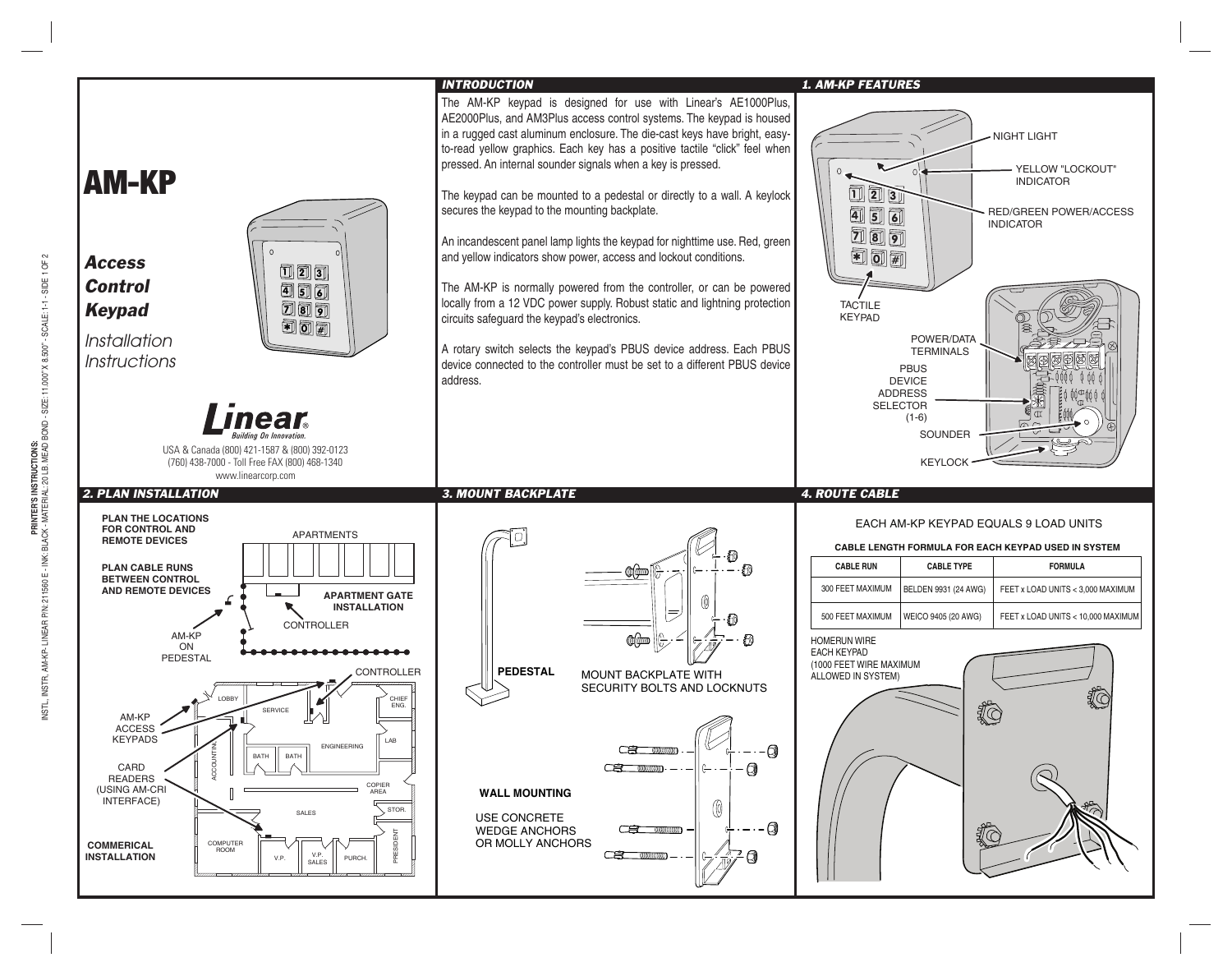